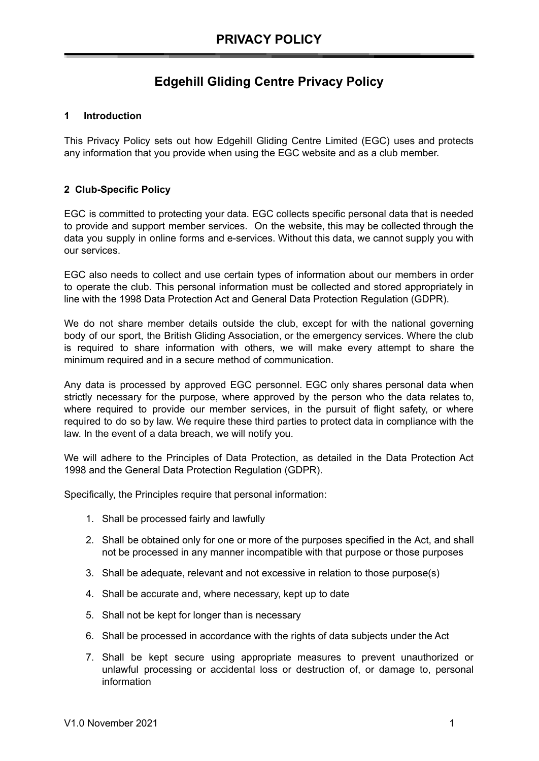## **Edgehill Gliding Centre Privacy Policy**

## **1 Introduction**

This Privacy Policy sets out how Edgehill Gliding Centre Limited (EGC) uses and protects any information that you provide when using the EGC website and as a club member.

## **2 Club-Specific Policy**

EGC is committed to protecting your data. EGC collects specific personal data that is needed to provide and support member services. On the website, this may be collected through the data you supply in online forms and e-services. Without this data, we cannot supply you with our services.

EGC also needs to collect and use certain types of information about our members in order to operate the club. This personal information must be collected and stored appropriately in line with the 1998 Data Protection Act and General Data Protection Regulation (GDPR).

We do not share member details outside the club, except for with the national governing body of our sport, the British Gliding Association, or the emergency services. Where the club is required to share information with others, we will make every attempt to share the minimum required and in a secure method of communication.

Any data is processed by approved EGC personnel. EGC only shares personal data when strictly necessary for the purpose, where approved by the person who the data relates to, where required to provide our member services, in the pursuit of flight safety, or where required to do so by law. We require these third parties to protect data in compliance with the law. In the event of a data breach, we will notify you.

We will adhere to the Principles of Data Protection, as detailed in the Data Protection Act 1998 and the General Data Protection Regulation (GDPR).

Specifically, the Principles require that personal information:

- 1. Shall be processed fairly and lawfully
- 2. Shall be obtained only for one or more of the purposes specified in the Act, and shall not be processed in any manner incompatible with that purpose or those purposes
- 3. Shall be adequate, relevant and not excessive in relation to those purpose(s)
- 4. Shall be accurate and, where necessary, kept up to date
- 5. Shall not be kept for longer than is necessary
- 6. Shall be processed in accordance with the rights of data subjects under the Act
- 7. Shall be kept secure using appropriate measures to prevent unauthorized or unlawful processing or accidental loss or destruction of, or damage to, personal information